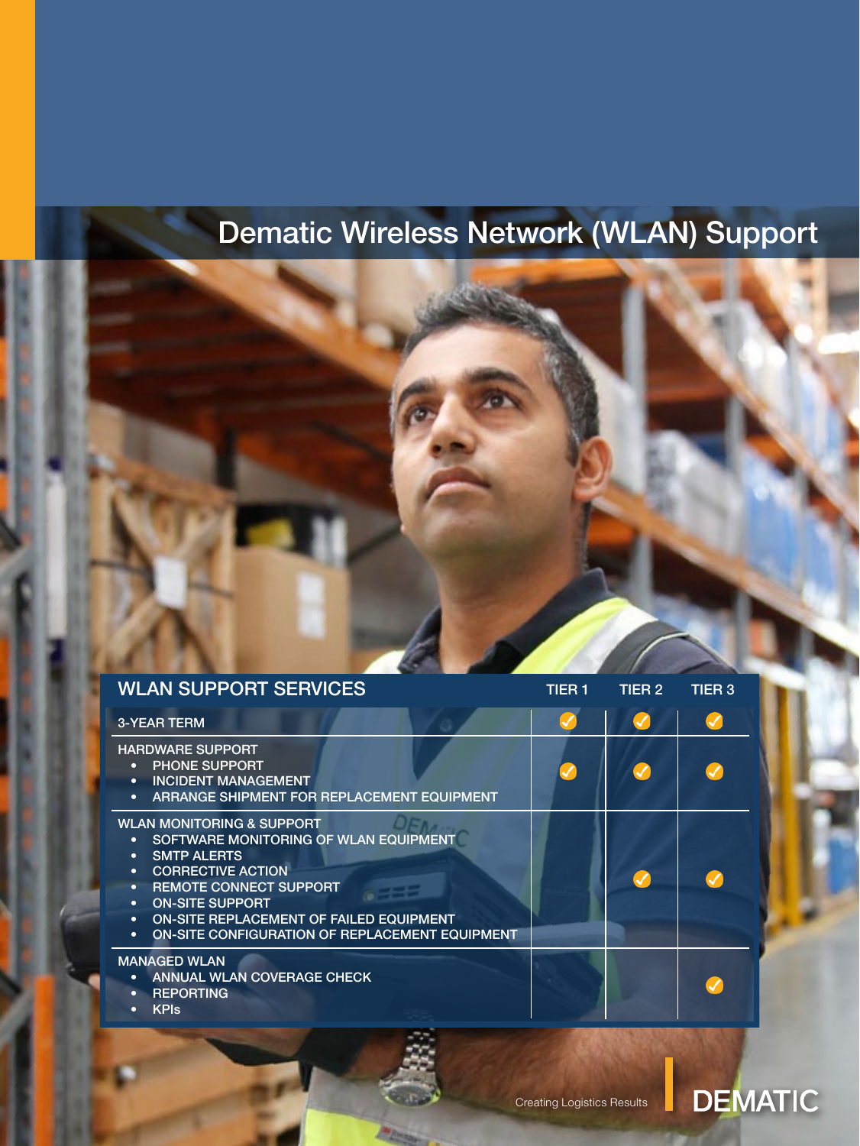# Dematic Wireless Network (WLAN) Support

| <b>WLAN SUPPORT SERVICES</b>                                                                                                                                                                                                                                                                                                                                         | TIER 1 | TIER 2                     | <b>TIER 3</b> |
|----------------------------------------------------------------------------------------------------------------------------------------------------------------------------------------------------------------------------------------------------------------------------------------------------------------------------------------------------------------------|--------|----------------------------|---------------|
| <b>3-YEAR TERM</b>                                                                                                                                                                                                                                                                                                                                                   |        |                            |               |
| <b>HARDWARE SUPPORT</b><br><b>PHONE SUPPORT</b><br><b>INCIDENT MANAGEMENT</b><br>$\bullet$<br>ARRANGE SHIPMENT FOR REPLACEMENT EQUIPMENT<br>$\bullet$                                                                                                                                                                                                                | ✓      | $\checkmark$               |               |
| <b>WLAN MONITORING &amp; SUPPORT</b><br>SOFTWARE MONITORING OF WLAN EQUIPMENT<br><b>SMTP ALERTS</b><br>$\bullet$<br><b>CORRECTIVE ACTION</b><br>$\bullet$<br><b>REMOTE CONNECT SUPPORT</b><br>$\bullet$<br><b>ON-SITE SUPPORT</b><br>$\bullet$<br><b>ON-SITE REPLACEMENT OF FAILED EQUIPMENT</b><br>٠<br>ON-SITE CONFIGURATION OF REPLACEMENT EQUIPMENT<br>$\bullet$ |        | $\boldsymbol{\mathcal{G}}$ |               |
| <b>MANAGED WLAN</b><br>ANNUAL WLAN COVERAGE CHECK<br>٠<br><b>REPORTING</b><br><b>KPIs</b><br>٠                                                                                                                                                                                                                                                                       |        |                            |               |

## **DEMATIC**